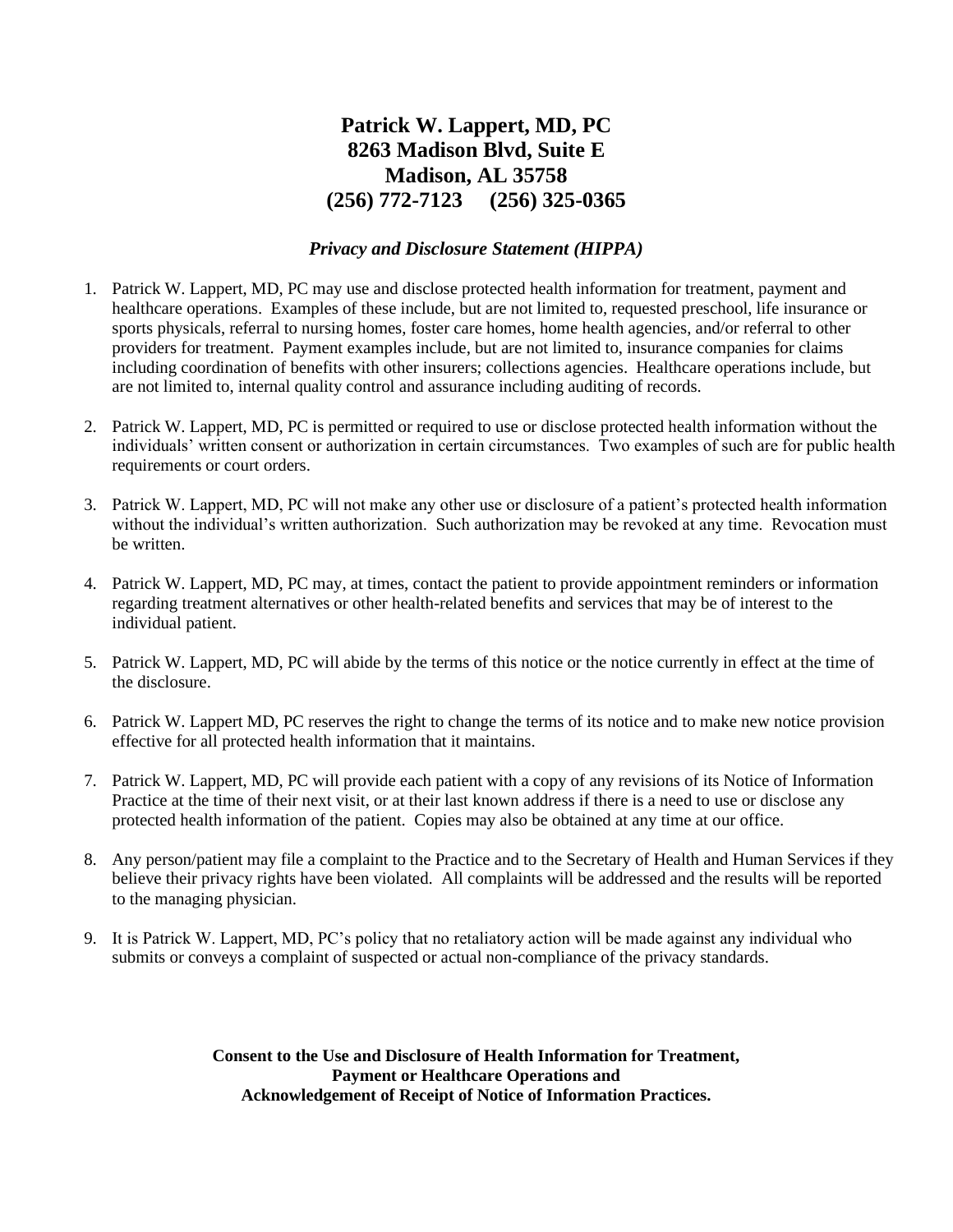## **Patrick W. Lappert, MD, PC 8263 Madison Blvd, Suite E Madison, AL 35758 (256) 772-7123 (256) 325-0365**

## *Privacy and Disclosure Statement (HIPPA)*

- 1. Patrick W. Lappert, MD, PC may use and disclose protected health information for treatment, payment and healthcare operations. Examples of these include, but are not limited to, requested preschool, life insurance or sports physicals, referral to nursing homes, foster care homes, home health agencies, and/or referral to other providers for treatment. Payment examples include, but are not limited to, insurance companies for claims including coordination of benefits with other insurers; collections agencies. Healthcare operations include, but are not limited to, internal quality control and assurance including auditing of records.
- 2. Patrick W. Lappert, MD, PC is permitted or required to use or disclose protected health information without the individuals' written consent or authorization in certain circumstances. Two examples of such are for public health requirements or court orders.
- 3. Patrick W. Lappert, MD, PC will not make any other use or disclosure of a patient's protected health information without the individual's written authorization. Such authorization may be revoked at any time. Revocation must be written.
- 4. Patrick W. Lappert, MD, PC may, at times, contact the patient to provide appointment reminders or information regarding treatment alternatives or other health-related benefits and services that may be of interest to the individual patient.
- 5. Patrick W. Lappert, MD, PC will abide by the terms of this notice or the notice currently in effect at the time of the disclosure.
- 6. Patrick W. Lappert MD, PC reserves the right to change the terms of its notice and to make new notice provision effective for all protected health information that it maintains.
- 7. Patrick W. Lappert, MD, PC will provide each patient with a copy of any revisions of its Notice of Information Practice at the time of their next visit, or at their last known address if there is a need to use or disclose any protected health information of the patient. Copies may also be obtained at any time at our office.
- 8. Any person/patient may file a complaint to the Practice and to the Secretary of Health and Human Services if they believe their privacy rights have been violated. All complaints will be addressed and the results will be reported to the managing physician.
- 9. It is Patrick W. Lappert, MD, PC's policy that no retaliatory action will be made against any individual who submits or conveys a complaint of suspected or actual non-compliance of the privacy standards.

**Consent to the Use and Disclosure of Health Information for Treatment, Payment or Healthcare Operations and Acknowledgement of Receipt of Notice of Information Practices.**